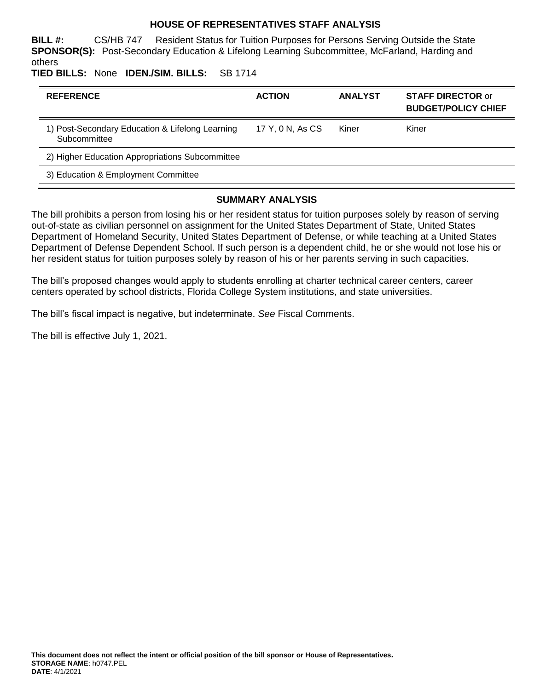### **HOUSE OF REPRESENTATIVES STAFF ANALYSIS**

**BILL #:** CS/HB 747 Resident Status for Tuition Purposes for Persons Serving Outside the State **SPONSOR(S):** Post-Secondary Education & Lifelong Learning Subcommittee, McFarland, Harding and others

**TIED BILLS:** None **IDEN./SIM. BILLS:** SB 1714

| <b>REFERENCE</b>                                                | <b>ACTION</b>    | <b>ANALYST</b> | <b>STAFF DIRECTOR or</b><br><b>BUDGET/POLICY CHIEF</b> |
|-----------------------------------------------------------------|------------------|----------------|--------------------------------------------------------|
| 1) Post-Secondary Education & Lifelong Learning<br>Subcommittee | 17 Y, 0 N, As CS | Kiner          | Kiner                                                  |
| 2) Higher Education Appropriations Subcommittee                 |                  |                |                                                        |
| 3) Education & Employment Committee                             |                  |                |                                                        |

#### **SUMMARY ANALYSIS**

The bill prohibits a person from losing his or her resident status for tuition purposes solely by reason of serving out-of-state as civilian personnel on assignment for the United States Department of State, United States Department of Homeland Security, United States Department of Defense, or while teaching at a United States Department of Defense Dependent School. If such person is a dependent child, he or she would not lose his or her resident status for tuition purposes solely by reason of his or her parents serving in such capacities.

The bill's proposed changes would apply to students enrolling at charter technical career centers, career centers operated by school districts, Florida College System institutions, and state universities.

The bill's fiscal impact is negative, but indeterminate. *See* Fiscal Comments.

The bill is effective July 1, 2021.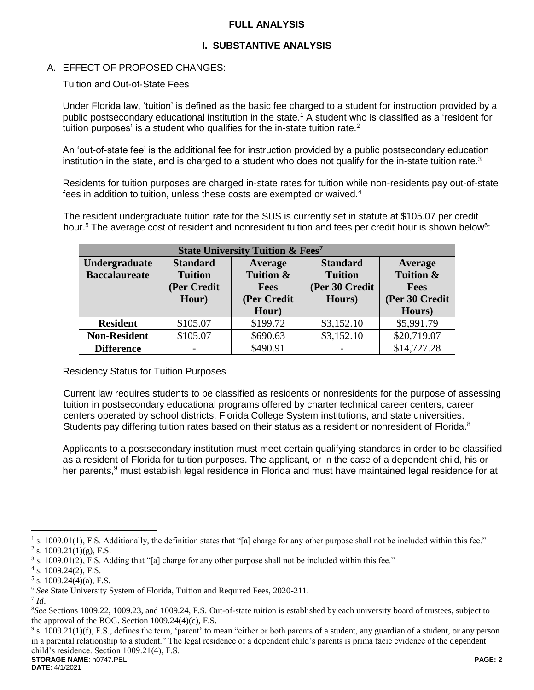## **FULL ANALYSIS**

## **I. SUBSTANTIVE ANALYSIS**

## A. EFFECT OF PROPOSED CHANGES:

#### Tuition and Out-of-State Fees

Under Florida law, 'tuition' is defined as the basic fee charged to a student for instruction provided by a public postsecondary educational institution in the state.<sup>1</sup> A student who is classified as a 'resident for tuition purposes' is a student who qualifies for the in-state tuition rate. $2$ 

An 'out-of-state fee' is the additional fee for instruction provided by a public postsecondary education institution in the state, and is charged to a student who does not qualify for the in-state tuition rate.<sup>3</sup>

Residents for tuition purposes are charged in-state rates for tuition while non-residents pay out-of-state fees in addition to tuition, unless these costs are exempted or waived.<sup>4</sup>

The resident undergraduate tuition rate for the SUS is currently set in statute at \$105.07 per credit hour.<sup>5</sup> The average cost of resident and nonresident tuition and fees per credit hour is shown below<sup>6</sup>:

| <b>State University Tuition &amp; Fees<sup>7</sup></b> |                 |             |                 |                |  |  |
|--------------------------------------------------------|-----------------|-------------|-----------------|----------------|--|--|
| Undergraduate                                          | <b>Standard</b> | Average     | <b>Standard</b> | Average        |  |  |
| <b>Baccalaureate</b>                                   | <b>Tuition</b>  | Tuition &   | <b>Tuition</b>  | Tuition &      |  |  |
|                                                        | (Per Credit     | <b>Fees</b> | (Per 30 Credit  | <b>Fees</b>    |  |  |
|                                                        | Hour)           | (Per Credit | Hours)          | (Per 30 Credit |  |  |
|                                                        |                 | Hour)       |                 | Hours)         |  |  |
| <b>Resident</b>                                        | \$105.07        | \$199.72    | \$3,152.10      | \$5,991.79     |  |  |
| <b>Non-Resident</b>                                    | \$105.07        | \$690.63    | \$3,152.10      | \$20,719.07    |  |  |
| <b>Difference</b>                                      |                 | \$490.91    |                 | \$14,727.28    |  |  |

#### Residency Status for Tuition Purposes

Current law requires students to be classified as residents or nonresidents for the purpose of assessing tuition in postsecondary educational programs offered by charter technical career centers, career centers operated by school districts, Florida College System institutions, and state universities. Students pay differing tuition rates based on their status as a resident or nonresident of Florida.<sup>8</sup>

Applicants to a postsecondary institution must meet certain qualifying standards in order to be classified as a resident of Florida for tuition purposes. The applicant, or in the case of a dependent child, his or her parents,<sup>9</sup> must establish legal residence in Florida and must have maintained legal residence for at

 $\overline{a}$ 

**STORAGE NAME**: h0747.PEL **PAGE: 2**  $9$  s. 1009.21(1)(f), F.S., defines the term, 'parent' to mean "either or both parents of a student, any guardian of a student, or any person in a parental relationship to a student." The legal residence of a dependent child's parents is prima facie evidence of the dependent child's residence. Section 1009.21(4), F.S.

<sup>&</sup>lt;sup>1</sup> s. 1009.01(1), F.S. Additionally, the definition states that "[a] charge for any other purpose shall not be included within this fee." <sup>2</sup> s. 1009.21(1)(g), F.S.

<sup>&</sup>lt;sup>3</sup> s. 1009.01(2), F.S. Adding that "[a] charge for any other purpose shall not be included within this fee."

<sup>4</sup> s. 1009.24(2), F.S.

 $5$  s. 1009.24(4)(a), F.S.

<sup>6</sup> *See* State University System of Florida, Tuition and Required Fees, 2020-211.

<sup>7</sup> *Id*.

<sup>8</sup>*See* Sections 1009.22, 1009.23, and 1009.24, F.S. Out-of-state tuition is established by each university board of trustees, subject to the approval of the BOG. Section 1009.24(4)(c), F.S.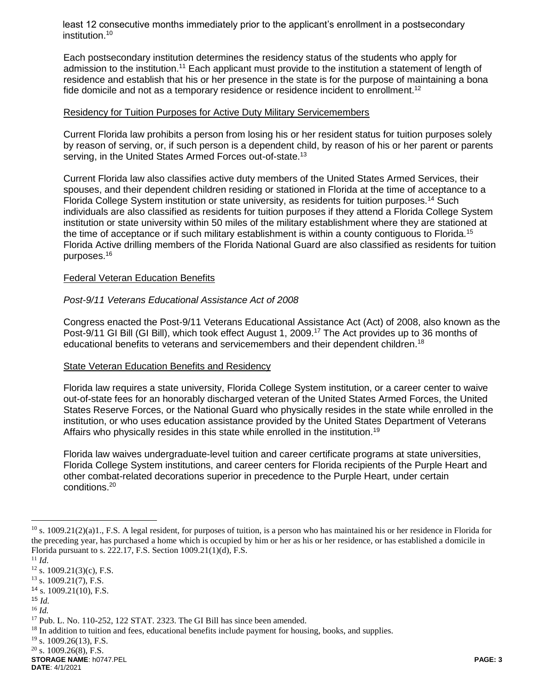least 12 consecutive months immediately prior to the applicant's enrollment in a postsecondary institution.<sup>10</sup>

Each postsecondary institution determines the residency status of the students who apply for admission to the institution.<sup>11</sup> Each applicant must provide to the institution a statement of length of residence and establish that his or her presence in the state is for the purpose of maintaining a bona fide domicile and not as a temporary residence or residence incident to enrollment.<sup>12</sup>

#### Residency for Tuition Purposes for Active Duty Military Servicemembers

Current Florida law prohibits a person from losing his or her resident status for tuition purposes solely by reason of serving, or, if such person is a dependent child, by reason of his or her parent or parents serving, in the United States Armed Forces out-of-state.<sup>13</sup>

Current Florida law also classifies active duty members of the United States Armed Services, their spouses, and their dependent children residing or stationed in Florida at the time of acceptance to a Florida College System institution or state university, as residents for tuition purposes.<sup>14</sup> Such individuals are also classified as residents for tuition purposes if they attend a Florida College System institution or state university within 50 miles of the military establishment where they are stationed at the time of acceptance or if such military establishment is within a county contiguous to Florida.<sup>15</sup> Florida Active drilling members of the Florida National Guard are also classified as residents for tuition purposes.<sup>16</sup>

#### Federal Veteran Education Benefits

#### *Post-9/11 Veterans Educational Assistance Act of 2008*

Congress enacted the Post-9/11 Veterans Educational Assistance Act (Act) of 2008, also known as the Post-9/11 GI Bill (GI Bill), which took effect August 1, 2009.<sup>17</sup> The Act provides up to 36 months of educational benefits to veterans and servicemembers and their dependent children.<sup>18</sup>

#### State Veteran Education Benefits and Residency

Florida law requires a state university, Florida College System institution, or a career center to waive out-of-state fees for an honorably discharged veteran of the United States Armed Forces, the United States Reserve Forces, or the National Guard who physically resides in the state while enrolled in the institution, or who uses education assistance provided by the United States Department of Veterans Affairs who physically resides in this state while enrolled in the institution.<sup>19</sup>

Florida law waives undergraduate-level tuition and career certificate programs at state universities, Florida College System institutions, and career centers for Florida recipients of the Purple Heart and other combat-related decorations superior in precedence to the Purple Heart, under certain conditions.<sup>20</sup>

 $\overline{a}$ 

**STORAGE NAME**: h0747.PEL **PAGE: 3 DATE**: 4/1/2021

 $^{10}$  s. 1009.21(2)(a)1., F.S. A legal resident, for purposes of tuition, is a person who has maintained his or her residence in Florida for the preceding year, has purchased a home which is occupied by him or her as his or her residence, or has established a domicile in Florida pursuant to s. 222.17, F.S. Section 1009.21(1)(d), F.S.

<sup>11</sup> *Id*.

 $12$  s. 1009.21(3)(c), F.S.

 $13$  s. 1009.21(7), F.S.

 $14$  s. 1009.21(10), F.S.

<sup>15</sup> *Id.*

<sup>16</sup> *Id.*

<sup>&</sup>lt;sup>17</sup> Pub. L. No. 110-252, 122 STAT. 2323. The GI Bill has since been amended.

<sup>&</sup>lt;sup>18</sup> In addition to tuition and fees, educational benefits include payment for housing, books, and supplies.

 $19$  s. 1009.26(13), F.S.

 $20$  s. 1009.26(8), F.S.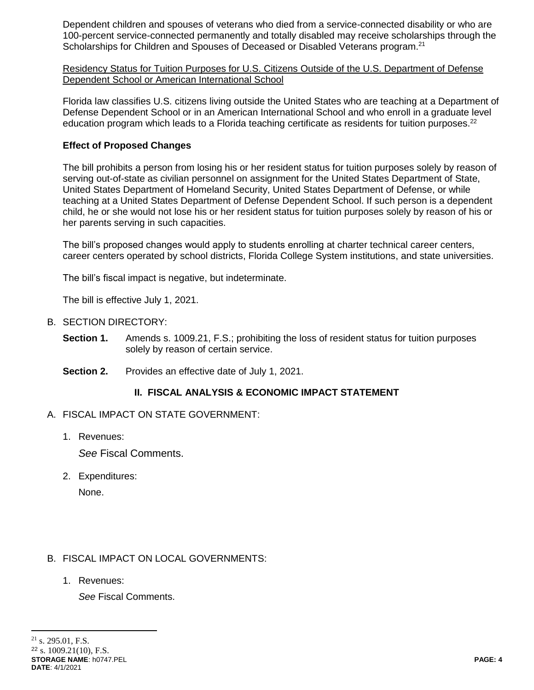Dependent children and spouses of veterans who died from a service-connected disability or who are 100-percent service-connected permanently and totally disabled may receive scholarships through the Scholarships for Children and Spouses of Deceased or Disabled Veterans program.<sup>21</sup>

Residency Status for Tuition Purposes for U.S. Citizens Outside of the U.S. Department of Defense Dependent School or American International School

Florida law classifies U.S. citizens living outside the United States who are teaching at a Department of Defense Dependent School or in an American International School and who enroll in a graduate level education program which leads to a Florida teaching certificate as residents for tuition purposes.<sup>22</sup>

## **Effect of Proposed Changes**

The bill prohibits a person from losing his or her resident status for tuition purposes solely by reason of serving out-of-state as civilian personnel on assignment for the United States Department of State, United States Department of Homeland Security, United States Department of Defense, or while teaching at a United States Department of Defense Dependent School. If such person is a dependent child, he or she would not lose his or her resident status for tuition purposes solely by reason of his or her parents serving in such capacities.

The bill's proposed changes would apply to students enrolling at charter technical career centers, career centers operated by school districts, Florida College System institutions, and state universities.

The bill's fiscal impact is negative, but indeterminate.

The bill is effective July 1, 2021.

- B. SECTION DIRECTORY:
	- **Section 1.** Amends s. 1009.21, F.S.; prohibiting the loss of resident status for tuition purposes solely by reason of certain service.
	- **Section 2.** Provides an effective date of July 1, 2021.

## **II. FISCAL ANALYSIS & ECONOMIC IMPACT STATEMENT**

- A. FISCAL IMPACT ON STATE GOVERNMENT:
	- 1. Revenues:

*See* Fiscal Comments.

2. Expenditures:

None.

## B. FISCAL IMPACT ON LOCAL GOVERNMENTS:

1. Revenues:

*See* Fiscal Comments.

 $\overline{a}$